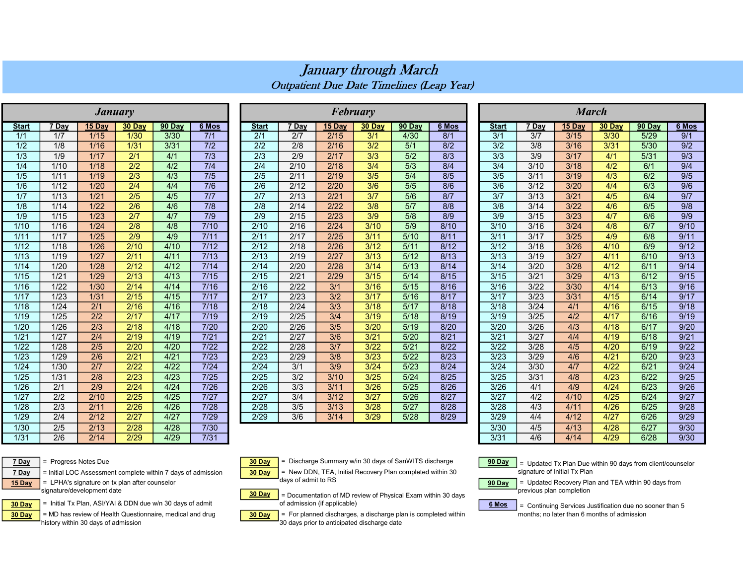# January through March Outpatient Due Date Timelines (Leap Year)

|                   |                  | <b>January</b>   |                  |                  |                   |                  |                  |                  | <b>February</b>  |                  |       |                   |                   |                  | <b>March</b> |                  |                   |
|-------------------|------------------|------------------|------------------|------------------|-------------------|------------------|------------------|------------------|------------------|------------------|-------|-------------------|-------------------|------------------|--------------|------------------|-------------------|
| <b>Start</b>      | 7 Day            | 15 Day           | 30 Dav           | 90 Dav           | 6 Mos             | <b>Start</b>     | 7 Day            | 15 Dav           | 30 Dav           | 90 Dav           | 6 Mos | <b>Start</b>      | 7 Dav             | 15 Day           | 30 Dav       | 90 Dav           | 6 Mos             |
| 1/1               | 1/7              | 1/15             | 1/30             | 3/30             | $7/1$             | 2/1              | 2/7              | 2/15             | 3/1              | 4/30             | 8/1   | 3/1               | 3/7               | 3/15             | 3/30         | 5/29             | 9/1               |
| $\overline{1/2}$  | $\overline{1/8}$ | $\frac{1}{16}$   | 1/31             | 3/31             | 7/2               | $\overline{2/2}$ | $\overline{2/8}$ | 2/16             | 3/2              | 5/1              | 8/2   | $\overline{3/2}$  | 3/8               | $\frac{3}{16}$   | 3/31         | 5/30             | $\overline{9/2}$  |
| $\overline{1/3}$  | 1/9              | 1/17             | 2/1              | 4/1              | $\overline{7/3}$  | 2/3              | 2/9              | 2/17             | 3/3              | 5/2              | 8/3   | $\overline{3/3}$  | 3/9               | 3/17             | 4/1          | 5/31             | 9/3               |
| 1/4               | 1/10             | 1/18             | $\overline{2/2}$ | $\overline{4/2}$ | $\frac{1}{7}{4}$  | $\overline{2/4}$ | 2/10             | 2/18             | 3/4              | $\overline{5/3}$ | 8/4   | 3/4               | $\overline{3/10}$ | 3/18             | 4/2          | 6/1              | 9/4               |
| 1/5               | 1/11             | 1/19             | 2/3              | 4/3              | $\overline{7/5}$  | 2/5              | 2/11             | 2/19             | 3/5              | $\overline{5/4}$ | 8/5   | $\overline{3/5}$  | 3/11              | 3/19             | 4/3          | 6/2              | 9/5               |
| $\overline{1/6}$  | 1/12             | 1/20             | $\overline{2/4}$ | 4/4              | $\overline{7/6}$  | $\overline{2/6}$ | 2/12             | 2/20             | $\overline{3/6}$ | $\overline{5/5}$ | 8/6   | $\overline{3/6}$  | $\frac{3}{12}$    | 3/20             | 4/4          | $\overline{6/3}$ | $\overline{9/6}$  |
| 1/7               | 1/13             | 1/21             | 2/5              | 4/5              | $\overline{7/7}$  | 2/7              | 2/13             | 2/21             | 3/7              | 5/6              | 8/7   | 3/7               | 3/13              | 3/21             | 4/5          | 6/4              | 9/7               |
| $\overline{1/8}$  | 1/14             | 1/22             | $\overline{2/6}$ | 4/6              | $\overline{7/8}$  | $\overline{2/8}$ | 2/14             | 2/22             | 3/8              | 5/7              | 8/8   | $\overline{3/8}$  | 3/14              | $\frac{3}{22}$   | 4/6          | 6/5              | $\overline{9/8}$  |
| 1/9               | 1/15             | 1/23             | 2/7              | 4/7              | 7/9               | $\overline{2/9}$ | 2/15             | 2/23             | $\overline{3/9}$ | 5/8              | 8/9   | 3/9               | 3/15              | 3/23             | 4/7          | 6/6              | 9/9               |
| 1/10              | 1/16             | 1/24             | $\overline{2/8}$ | 4/8              | $\overline{7/10}$ | 2/10             | 2/16             | 2/24             | 3/10             | $\overline{5/9}$ | 8/10  | $\overline{3/10}$ | 3/16              | $\frac{3}{24}$   | 4/8          | 6/7              | 9/10              |
| 1/11              | 1/17             | 1/25             | 2/9              | 4/9              | 7/11              | 2/11             | 2/17             | 2/25             | 3/11             | 5/10             | 8/11  | 3/11              | 3/17              | 3/25             | 4/9          | 6/8              | 9/11              |
| 1/12              | 1/18             | 1/26             | 2/10             | 4/10             | $7/12$            | 2/12             | 2/18             | 2/26             | 3/12             | 5/11             | 8/12  | 3/12              | 3/18              | 3/26             | 4/10         | 6/9              | 9/12              |
| 1/13              | 1/19             | 1/27             | 2/11             | 4/11             | 7/13              | 2/13             | 2/19             | 2/27             | 3/13             | 5/12             | 8/13  | 3/13              | 3/19              | $\frac{3}{27}$   | 4/11         | 6/10             | 9/13              |
| 1/14              | 1/20             | 1/28             | 2/12             | 4/12             | 7/14              | 2/14             | 2/20             | 2/28             | $\frac{3}{14}$   | 5/13             | 8/14  | $\frac{3}{14}$    | 3/20              | 3/28             | 4/12         | 6/11             | 9/14              |
| 1/15              | $\frac{1}{21}$   | 1/29             | 2/13             | 4/13             | $\overline{7/15}$ | 2/15             | 2/21             | 2/29             | 3/15             | $\frac{1}{5/14}$ | 8/15  | $\frac{3}{15}$    | 3/21              | 3/29             | 4/13         | 6/12             | $\overline{9/15}$ |
| 1/16              | 1/22             | 1/30             | 2/14             | 4/14             | 7/16              | 2/16             | 2/22             | 3/1              | $3/16$           | 5/15             | 8/16  | 3/16              | 3/22              | $3/30$           | 4/14         | 6/13             | 9/16              |
| 1/17              | $\frac{1}{23}$   | 1/31             | 2/15             | 4/15             | 7/17              | 2/17             | 2/23             | 3/2              | 3/17             | 5/16             | 8/17  | $\frac{3}{17}$    | 3/23              | $\frac{3}{31}$   | 4/15         | 6/14             | 9/17              |
| 1/18              | 1/24             | 2/1              | 2/16             | 4/16             | $\frac{7}{18}$    | 2/18             | 2/24             | $\overline{3/3}$ | 3/18             | 5/17             | 8/18  | 3/18              | $\frac{3}{24}$    | 4/1              | 4/16         | 6/15             | 9/18              |
| $\overline{1/19}$ | 1/25             | 2/2              | 2/17             | 4/17             | 7/19              | 2/19             | 2/25             | $\overline{3/4}$ | 3/19             | 5/18             | 8/19  | 3/19              | $\frac{3}{25}$    | 4/2              | 4/17         | 6/16             | 9/19              |
| 1/20              | 1/26             | $\overline{2/3}$ | 2/18             | 4/18             | 7/20              | 2/20             | 2/26             | 3/5              | 3/20             | 5/19             | 8/20  | 3/20              | 3/26              | 4/3              | 4/18         | 6/17             | 9/20              |
| $1/21$            | 1/27             | 2/4              | 2/19             | 4/19             | $7/21$            | 2/21             | 2/27             | 3/6              | 3/21             | 5/20             | 8/21  | 3/21              | 3/27              | 4/4              | 4/19         | 6/18             | 9/21              |
| 1/22              | 1/28             | 2/5              | 2/20             | 4/20             | $7/22$            | 2/22             | 2/28             | 3/7              | $3/22$           | 5/21             | 8/22  | 3/22              | 3/28              | 4/5              | 4/20         | 6/19             | 9/22              |
| 1/23              | 1/29             | $\overline{2/6}$ | 2/21             | 4/21             | $\frac{7}{23}$    | 2/23             | 2/29             | $\overline{3/8}$ | 3/23             | 5/22             | 8/23  | 3/23              | $\frac{3}{29}$    | 4/6              | 4/21         | 6/20             | 9/23              |
| 1/24              | $\frac{1}{30}$   | $\overline{2/7}$ | 2/22             | 4/22             | 7/24              | 2/24             | 3/1              | 3/9              | $\frac{3}{24}$   | 5/23             | 8/24  | $\frac{3}{24}$    | 3/30              | 4/7              | 4/22         | 6/21             | 9/24              |
| $\frac{1}{25}$    | 1/31             | $\overline{2/8}$ | 2/23             | 4/23             | $\frac{7}{25}$    | 2/25             | $\overline{3/2}$ | 3/10             | $\frac{3}{25}$   | 5/24             | 8/25  | $\frac{1}{3/25}$  | 3/31              | $\overline{4/8}$ | 4/23         | 6/22             | 9/25              |
| 1/26              | 2/1              | 2/9              | 2/24             | 4/24             | 7/26              | 2/26             | $\overline{3/3}$ | 3/11             | 3/26             | 5/25             | 8/26  | 3/26              | 4/1               | 4/9              | 4/24         | 6/23             | 9/26              |
| 1/27              | $\overline{2/2}$ | 2/10             | 2/25             | 4/25             | $\frac{7}{27}$    | 2/27             | $\overline{3/4}$ | 3/12             | 3/27             | 5/26             | 8/27  | $\frac{3}{27}$    | 4/2               | 4/10             | 4/25         | 6/24             | 9/27              |
| 1/28              | 2/3              | 2/11             | 2/26             | 4/26             | 7/28              | 2/28             | 3/5              | 3/13             | 3/28             | 5/27             | 8/28  | 3/28              | 4/3               | 4/11             | 4/26         | 6/25             | 9/28              |
| 1/29              | $\overline{2/4}$ | 2/12             | 2/27             | 4/27             | 7/29              | 2/29             | 3/6              | 3/14             | 3/29             | 5/28             | 8/29  | 3/29              | 4/4               | 4/12             | 4/27         | 6/26             | 9/29              |
| 1/30              | 2/5              | 2/13             | 2/28             | 4/28             | 7/30              |                  |                  |                  |                  |                  |       | 3/30              | 4/5               | 4/13             | 4/28         | 6/27             | 9/30              |
| 1/31              | $\overline{2/6}$ | 2/14             | 2/29             | 4/29             | 7/31              |                  |                  |                  |                  |                  |       | 3/31              | 4/6               | 4/14             | 4/29         | 6/28             | 9/30              |

|                  |       | <b><i>January</i></b> |        |        |                  |                  |       |        | <b>February</b> |                  |       |                  |                  | <b>March</b> |        |        |                   |
|------------------|-------|-----------------------|--------|--------|------------------|------------------|-------|--------|-----------------|------------------|-------|------------------|------------------|--------------|--------|--------|-------------------|
| <b>Start</b>     | 7 Dav | 15 Dav                | 30 Day | 90 Dav | 6 Mos            | <b>Start</b>     | 7 Dav | 15 Day | 30 Day          | 90 Day           | 6 Mos | <b>Start</b>     | 7 Dav            | 15 Day       | 30 Day | 90 Day | 6 Mos             |
| 1/1              | 1/7   | 1/15                  | 1/30   | 3/30   | 7/1              | 2/1              | 2/7   | 2/15   | 3/1             | 4/30             | 8/1   | 3/1              | 3/7              | 3/15         | 3/30   | 5/29   | 9/1               |
| 1/2              | 1/8   | 1/16                  | 1/31   | 3/31   | 7/2              | 2/2              | 2/8   | 2/16   | 3/2             | 5/1              | 8/2   | 3/2              | 3/8              | 3/16         | 3/31   | 5/30   | 9/2               |
| $\overline{1/3}$ | 1/9   | 1/17                  | 2/1    | 4/1    | $\overline{7/3}$ | $\overline{2/3}$ | 2/9   | 2/17   | 3/3             | 5/2              | 8/3   | 3/3              | $\overline{3/9}$ | 3/17         | 4/1    | 5/31   | 9/3               |
| 1/4              | 1/10  | 1/18                  | 2/2    | 4/2    | $\overline{7/4}$ | 2/4              | 2/10  | 2/18   | 3/4             | $\overline{5/3}$ | 8/4   | 3/4              | 3/10             | 3/18         | 4/2    | 6/1    | $\overline{9/4}$  |
| 1/5              | 1/11  | 1/19                  | 2/3    | 4/3    | 7/5              | 2/5              | 2/11  | 2/19   | 3/5             | 5/4              | 8/5   | 3/5              | 3/11             | 3/19         | 4/3    | 6/2    | 9/5               |
| 1/6              | 1/12  | 1/20                  | 2/4    | 4/4    | $\overline{7/6}$ | $\overline{2/6}$ | 2/12  | 2/20   | 3/6             | 5/5              | 8/6   | $\overline{3/6}$ | 3/12             | 3/20         | 4/4    | 6/3    | $\overline{9/6}$  |
| 1/7              | 1/13  | 1/21                  | 2/5    | 4/5    | 7/7              | 2/7              | 2/13  | 2/21   | 3/7             | 5/6              | 8/7   | 3/7              | 3/13             | 3/21         | 4/5    | 6/4    | 9/7               |
| 1/8              | 1/14  | 1/22                  | 2/6    | 4/6    | 7/8              | 2/8              | 2/14  | 2/22   | 3/8             | 5/7              | 8/8   | 3/8              | 3/14             | 3/22         | 4/6    | 6/5    | 9/8               |
| 1/9              | 1/15  | 1/23                  | 2/7    | 4/7    | 7/9              | 2/9              | 2/15  | 2/23   | 3/9             | 5/8              | 8/9   | $\overline{3/9}$ | 3/15             | 3/23         | 4/7    | 6/6    | 9/9               |
| 1/10             | 1/16  | 1/24                  | 2/8    | 4/8    | 7/10             | 2/10             | 2/16  | 2/24   | 3/10            | 5/9              | 8/10  | 3/10             | 3/16             | 3/24         | 4/8    | 6/7    | 9/10              |
| 1/11             | 1/17  | 1/25                  | 2/9    | 4/9    | 7/11             | 2/11             | 2/17  | 2/25   | 3/11            | $5/10$           | 8/11  | 3/11             | 3/17             | 3/25         | 4/9    | 6/8    | 9/11              |
| 1/12             | 1/18  | 1/26                  | 2/10   | 4/10   | 7/12             | 2/12             | 2/18  | 2/26   | 3/12            | 5/11             | 8/12  | 3/12             | 3/18             | 3/26         | 4/10   | 6/9    | 9/12              |
| 1/13             | 1/19  | 1/27                  | 2/11   | 4/11   | 7/13             | 2/13             | 2/19  | 2/27   | 3/13            | 5/12             | 8/13  | 3/13             | 3/19             | 3/27         | 4/11   | 6/10   | 9/13              |
| 1/14             | 1/20  | 1/28                  | 2/12   | 4/12   | 7/14             | 2/14             | 2/20  | 2/28   | 3/14            | 5/13             | 8/14  | 3/14             | 3/20             | 3/28         | 4/12   | 6/11   | 9/14              |
| 1/15             | 1/21  | 1/29                  | 2/13   | 4/13   | 7/15             | 2/15             | 2/21  | 2/29   | 3/15            | 5/14             | 8/15  | 3/15             | 3/21             | 3/29         | 4/13   | 6/12   | $\overline{9/15}$ |
| 1/16             | 1/22  | 1/30                  | 2/14   | 4/14   | 7/16             | 2/16             | 2/22  | 3/1    | 3/16            | 5/15             | 8/16  | 3/16             | 3/22             | 3/30         | 4/14   | 6/13   | 9/16              |
| 1/17             | 1/23  | 1/31                  | 2/15   | 4/15   | 7/17             | 2/17             | 2/23  | 3/2    | 3/17            | 5/16             | 8/17  | 3/17             | 3/23             | 3/31         | 4/15   | 6/14   | 9/17              |
| 1/18             | 1/24  | 2/1                   | 2/16   | 4/16   | 7/18             | 2/18             | 2/24  | 3/3    | 3/18            | 5/17             | 8/18  | 3/18             | 3/24             | 4/1          | 4/16   | 6/15   | 9/18              |
| 1/19             | 1/25  | 2/2                   | 2/17   | 4/17   | 7/19             | 2/19             | 2/25  | 3/4    | 3/19            | 5/18             | 8/19  | 3/19             | 3/25             | 4/2          | 4/17   | 6/16   | 9/19              |
| 1/20             | 1/26  | $\overline{2/3}$      | 2/18   | 4/18   | 7/20             | 2/20             | 2/26  | 3/5    | 3/20            | 5/19             | 8/20  | 3/20             | 3/26             | 4/3          | 4/18   | 6/17   | 9/20              |
| $1/21$           | 1/27  | 2/4                   | 2/19   | 4/19   | 7/21             | 2/21             | 2/27  | 3/6    | 3/21            | 5/20             | 8/21  | 3/21             | 3/27             | 4/4          | 4/19   | 6/18   | 9/21              |
| $\frac{1}{22}$   | 1/28  | 2/5                   | 2/20   | 4/20   | $7/22$           | 2/22             | 2/28  | 3/7    | 3/22            | 5/21             | 8/22  | 3/22             | 3/28             | 4/5          | 4/20   | 6/19   | 9/22              |
| 1/23             | 1/29  | 2/6                   | 2/21   | 4/21   | 7/23             | 2/23             | 2/29  | 3/8    | 3/23            | 5/22             | 8/23  | 3/23             | 3/29             | 4/6          | 4/21   | 6/20   | 9/23              |
| 1/24             | 1/30  | 2/7                   | 2/22   | 4/22   | 7/24             | 2/24             | 3/1   | 3/9    | 3/24            | 5/23             | 8/24  | 3/24             | 3/30             | 4/7          | 4/22   | 6/21   | 9/24              |
| 1/25             | 1/31  | 2/8                   | 2/23   | 4/23   | 7/25             | 2/25             | 3/2   | 3/10   | 3/25            | 5/24             | 8/25  | 3/25             | 3/31             | 4/8          | 4/23   | 6/22   | 9/25              |
| 1/26             | 2/1   | 2/9                   | 2/24   | 4/24   | 7/26             | 2/26             | 3/3   | 3/11   | 3/26            | 5/25             | 8/26  | 3/26             | 4/1              | 4/9          | 4/24   | 6/23   | 9/26              |
| 1/27             | 2/2   | 2/10                  | 2/25   | 4/25   | 7/27             | 2/27             | 3/4   | 3/12   | 3/27            | 5/26             | 8/27  | 3/27             | 4/2              | 4/10         | 4/25   | 6/24   | 9/27              |
| 1/28             | 2/3   | 2/11                  | 2/26   | 4/26   | 7/28             | 2/28             | 3/5   | 3/13   | 3/28            | 5/27             | 8/28  | 3/28             | 4/3              | 4/11         | 4/26   | 6/25   | 9/28              |
| 1/29             | 2/4   | 2/12                  | 2/27   | 4/27   | 7/29             | 2/29             | 3/6   | 3/14   | 3/29            | 5/28             | 8/29  | 3/29             | 4/4              | 4/12         | 4/27   | 6/26   | 9/29              |

|                  |                  | $_{\sigma}$ and $_{\sigma}$ |                  |        |                  |                  |                  | $1$ corner $y$   |                  |                   |                  |                   |                  | $111$ W. $\mathbf{U}$ |        |        |                   |
|------------------|------------------|-----------------------------|------------------|--------|------------------|------------------|------------------|------------------|------------------|-------------------|------------------|-------------------|------------------|-----------------------|--------|--------|-------------------|
| <b>Start</b>     | 7 Day            | 15 Day                      | 30 Day           | 90 Day | 6 Mos            | <b>Start</b>     | 7 Day            | <b>15 Day</b>    | 30 Day           | 90 Day            | 6 Mos            | <b>Start</b>      | 7 Day            | 15 Day                | 30 Day | 90 Day | 6 Mos             |
| 1/1              | 1/7              | 1/15                        | 1/30             | 3/30   | $7/1$            | 2/1              | 2/7              | 2/15             | 3/1              | 4/30              | 8/1              | 3/1               | 3/7              | 3/15                  | 3/30   | 5/29   | 9/1               |
| 1/2              | 1/8              | 1/16                        | 1/31             | 3/31   | 7/2              | 2/2              | 2/8              | 2/16             | 3/2              | 5/1               | 8/2              | 3/2               | 3/8              | 3/16                  | 3/31   | 5/30   | 9/2               |
| 1/3              | $\overline{1/9}$ | 1/17                        | $\overline{2/1}$ | 4/1    | 7/3              | $\overline{2/3}$ | $\overline{2/9}$ | 2/17             | 3/3              | 5/2               | 8/3              | 3/3               | $\overline{3/9}$ | 3/17                  | 4/1    | 5/31   | 9/3               |
| 1/4              | 1/10             | $1/18$                      | $\overline{2/2}$ | 4/2    | 7/4              | $\overline{2/4}$ | 2/10             | 2/18             | $\overline{3/4}$ | $\overline{5/3}$  | 8/4              | $\overline{3/4}$  | 3/10             | 3/18                  | 4/2    | 6/1    | $\overline{9/4}$  |
| 1/5              | 1/11             | 1/19                        | 2/3              | 4/3    | 7/5              | $\overline{2/5}$ | 2/11             | 2/19             | 3/5              | $\overline{5/4}$  | 8/5              | 3/5               | 3/11             | 3/19                  | 4/3    | 6/2    | 9/5               |
| 1/6              | 1/12             | 1/20                        | 2/4              | 4/4    | 7/6              | 2/6              | 2/12             | 2/20             | 3/6              | 5/5               | 8/6              | 3/6               | 3/12             | 3/20                  | 4/4    | 6/3    | 9/6               |
| 1/7              | 1/13             | $1/21$                      | $\overline{2/5}$ | 4/5    | 7/7              | 2/7              | 2/13             | 2/21             | 3/7              | 5/6               | 8/7              | 3/7               | 3/13             | $\frac{3}{21}$        | 4/5    | 6/4    | 9/7               |
| $\overline{1/8}$ | 1/14             | $\frac{1}{22}$              | $\overline{2/6}$ | 4/6    | 7/8              | $\overline{2/8}$ | 2/14             | 2/22             | 3/8              | 5/7               | $\overline{8/8}$ | $\overline{3/8}$  | 3/14             | 3/22                  | 4/6    | 6/5    | $\overline{9/8}$  |
| 1/9              | 1/15             | 1/23                        | $\overline{2/7}$ | 4/7    | $\overline{7/9}$ | $\overline{2/9}$ | 2/15             | 2/23             | $\overline{3/9}$ | 5/8               | 8/9              | 3/9               | 3/15             | 3/23                  | 4/7    | 6/6    | $\overline{9/9}$  |
| 1/10             | 1/16             | $1/24$                      | $\overline{2/8}$ | 4/8    | $\frac{7}{10}$   | 2/10             | 2/16             | 2/24             | 3/10             | 5/9               | 8/10             | 3/10              | 3/16             | $\frac{3}{24}$        | 4/8    | 6/7    | 9/10              |
| 1/11             | 1/17             | 1/25                        | 2/9              | 4/9    | 7/11             | 2/11             | 2/17             | 2/25             | 3/11             | $5/10$            | 8/11             | 3/11              | 3/17             | 3/25                  | 4/9    | 6/8    | 9/11              |
| 1/12             | 1/18             | $1/26$                      | 2/10             | 4/10   | 7/12             | 2/12             | 2/18             | 2/26             | $\frac{3}{12}$   | 5/11              | 8/12             | $\frac{3}{12}$    | 3/18             | 3/26                  | 4/10   | 6/9    | 9/12              |
| 1/13             | 1/19             | 1/27                        | 2/11             | 4/11   | 7/13             | 2/13             | 2/19             | 2/27             | 3/13             | 5/12              | 8/13             | 3/13              | 3/19             | 3/27                  | 4/11   | 6/10   | 9/13              |
| 1/14             | 1/20             | 1/28                        | 2/12             | 4/12   | 7/14             | 2/14             | 2/20             | 2/28             | 3/14             | 5/13              | 8/14             | $\frac{3}{14}$    | 3/20             | 3/28                  | 4/12   | 6/11   | 9/14              |
| 1/15             | 1/21             | 1/29                        | 2/13             | 4/13   | $\frac{7}{15}$   | 2/15             | 2/21             | 2/29             | 3/15             | $\frac{1}{5/14}$  | 8/15             | 3/15              | $\frac{3}{21}$   | 3/29                  | 4/13   | 6/12   | $\overline{9/15}$ |
| 1/16             | $\frac{1}{22}$   | $1/30$                      | 2/14             | 4/14   | 7/16             | 2/16             | 2/22             | 3/1              | 3/16             | 5/15              | 8/16             | 3/16              | 3/22             | $\frac{3}{30}$        | 4/14   | 6/13   | 9/16              |
| 1/17             | 1/23             | $1/31$                      | 2/15             | 4/15   | 7/17             | 2/17             | 2/23             | $\overline{3/2}$ | 3/17             | $\frac{1}{5/16}$  | 8/17             | $\frac{3}{17}$    | $\frac{3}{23}$   | 3/31                  | 4/15   | 6/14   | 9/17              |
| 1/18             | 1/24             | 2/1                         | 2/16             | 4/16   | 7/18             | 2/18             | 2/24             | 3/3              | 3/18             | 5/17              | 8/18             | 3/18              | 3/24             | 4/1                   | 4/16   | 6/15   | 9/18              |
| 1/19             | $\frac{1}{25}$   | $\overline{2/2}$            | 2/17             | 4/17   | 7/19             | 2/19             | 2/25             | $\overline{3/4}$ | 3/19             | $\overline{5/18}$ | 8/19             | $\overline{3/19}$ | 3/25             | 4/2                   | 4/17   | 6/16   | 9/19              |
| 1/20             | 1/26             | $\overline{2/3}$            | 2/18             | 4/18   | 7/20             | 2/20             | 2/26             | 3/5              | 3/20             | 5/19              | 8/20             | 3/20              | 3/26             | 4/3                   | 4/18   | 6/17   | 9/20              |
| $\frac{1}{21}$   | 1/27             | $\overline{2/4}$            | 2/19             | 4/19   | $\frac{7}{21}$   | 2/21             | 2/27             | 3/6              | 3/21             | $\frac{5}{20}$    | 8/21             | $\frac{3}{21}$    | $\frac{3}{27}$   | 4/4                   | 4/19   | 6/18   | 9/21              |
| 1/22             | 1/28             | 2/5                         | 2/20             | 4/20   | $\frac{7}{22}$   | 2/22             | 2/28             | 3/7              | 3/22             | 5/21              | 8/22             | 3/22              | 3/28             | 4/5                   | 4/20   | 6/19   | 9/22              |
| 1/23             | 1/29             | 2/6                         | 2/21             | 4/21   | $7/23$           | 2/23             | 2/29             | 3/8              | 3/23             | 5/22              | 8/23             | 3/23              | 3/29             | 4/6                   | 4/21   | 6/20   | 9/23              |
| 1/24             | 1/30             | 2/7                         | 2/22             | 4/22   | $7/24$           | 2/24             | 3/1              | 3/9              | 3/24             | $\frac{5}{23}$    | 8/24             | 3/24              | 3/30             | 4/7                   | 4/22   | 6/21   | 9/24              |
| 1/25             | 1/31             | 2/8                         | 2/23             | 4/23   | 7/25             | 2/25             | 3/2              | 3/10             | 3/25             | $\frac{5}{24}$    | 8/25             | 3/25              | 3/31             | 4/8                   | 4/23   | 6/22   | 9/25              |
| 1/26             | 2/1              | $\overline{2/9}$            | 2/24             | 4/24   | 7/26             | 2/26             | $\overline{3/3}$ | 3/11             | 3/26             | $5/25$            | 8/26             | 3/26              | 4/1              | 4/9                   | 4/24   | 6/23   | 9/26              |
| 1/27             | $\overline{2/2}$ | 2/10                        | 2/25             | 4/25   | 7/27             | 2/27             | $\overline{3/4}$ | $\frac{3}{12}$   | 3/27             | $\frac{5}{26}$    | 8/27             | $\frac{3}{27}$    | 4/2              | 4/10                  | 4/25   | 6/24   | 9/27              |
| 1/28             | 2/3              | 2/11                        | 2/26             | 4/26   | 7/28             | 2/28             | 3/5              | 3/13             | 3/28             | 5/27              | 8/28             | 3/28              | 4/3              | 4/11                  | 4/26   | 6/25   | 9/28              |
| 1/29             | 2/4              | 2/12                        | 2/27             | 4/27   | 7/29             | 2/29             | 3/6              | 3/14             | 3/29             | 5/28              | 8/29             | 3/29              | 4/4              | 4/12                  | 4/27   | 6/26   | 9/29              |
| 1/30             | 2/5              | 2/13                        | 2/28             | 4/28   | 7/30             |                  |                  |                  |                  |                   |                  | 3/30              | 4/5              | 4/13                  | 4/28   | 6/27   | 9/30              |
| 1/31             | 2/6              | 2/14                        | 2/29             | 4/29   | 7/31             |                  |                  |                  |                  |                   |                  | 3/31              | 4/6              | 4/14                  | 4/29   | 6/28   | 9/30              |

7 Day = Progress Notes Due 30 Day = Discharge Summary w/in 30 days of SanWITS discharge 30 Day

 $\overline{7 \text{ Day}}$  = Initial LOC Assessment complete within 7 days of admission  $\overline{30 \text{ Day}}$ 

15 Day = LPHA's signature on tx plan after counselor example of the state of days of admit to RS and the state of the state of the state of the state of the state of the state of the state of the state of the state of the signature/development date

history within 30 days of admission

 $\overline{30 \text{ Day}}$  = Initial Tx Plan, ASI/YAI & DDN due w/n 30 days of admit  $\overline{30 \text{ days}}$  of admission (if applicable) 30 Day = MD has review of Health Questionnaire, medical and drug = 30 Day = For planned discharges, a discharge plan is completed within = months; no later than 6 months of admission

 $=$  New DDN, TEA, Initial Recovery Plan completed within 30 days of admit to RS

30 days prior to anticipated discharge date

30 Day

- - = Updated Tx Plan Due within 90 days from client/counselor signature of Initial Tx Plan
- = Updated Recovery Plan and TEA within 90 days from = Documentation of MD review of Physical Exam within 30 days<br>= Documentation of MD review of Physical Exam within 30 days

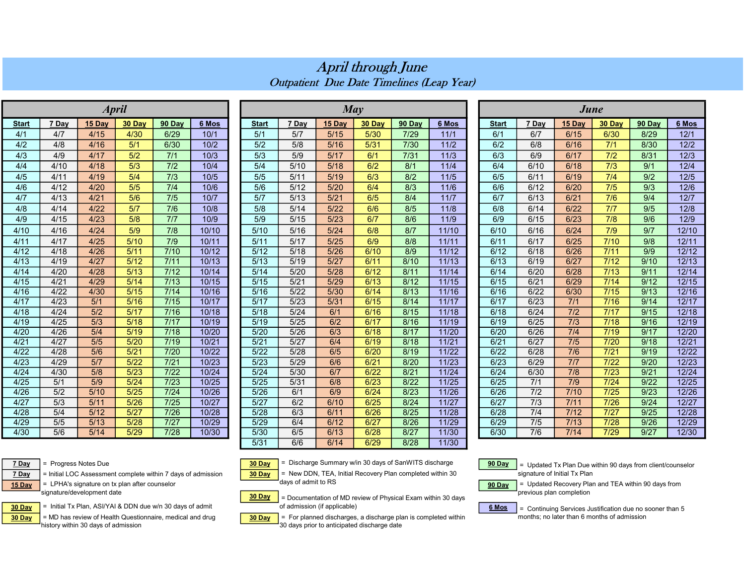# April through June Outpatient Due Date Timelines (Leap Year)

|              |                  | <b>April</b>  |        |        |       |
|--------------|------------------|---------------|--------|--------|-------|
| <b>Start</b> | 7 Day            | <b>15 Day</b> | 30 Day | 90 Day | 6 Mos |
| 4/1          | 4/7              | 4/15          | 4/30   | 6/29   | 10/1  |
| 4/2          | 4/8              | 4/16          | 5/1    | 6/30   | 10/2  |
| 4/3          | 4/9              | 4/17          | 5/2    | 7/1    | 10/3  |
| 4/4          | 4/10             | 4/18          | 5/3    | 7/2    | 10/4  |
| 4/5          | 4/11             | 4/19          | 5/4    | 7/3    | 10/5  |
| 4/6          | 4/12             | 4/20          | 5/5    | 7/4    | 10/6  |
| 4/7          | 4/13             | 4/21          | 5/6    | 7/5    | 10/7  |
| 4/8          | 4/14             | 4/22          | 5/7    | 7/6    | 10/8  |
| 4/9          | 4/15             | 4/23          | 5/8    | 7/7    | 10/9  |
| 4/10         | 4/16             | 4/24          | 5/9    | 7/8    | 10/10 |
| 4/11         | 4/17             | 4/25          | 5/10   | 7/9    | 10/11 |
| 4/12         | 4/18             | 4/26          | 5/11   | 7/10   | 10/12 |
| 4/13         | 4/19             | 4/27          | 5/12   | 7/11   | 10/13 |
| 4/14         | 4/20             | 4/28          | 5/13   | 7/12   | 10/14 |
| 4/15         | 4/21             | 4/29          | 5/14   | 7/13   | 10/15 |
| 4/16         | 4/22             | 4/30          | 5/15   | 7/14   | 10/16 |
| 4/17         | 4/23             | 5/1           | 5/16   | 7/15   | 10/17 |
| 4/18         | 4/24             | 5/2           | 5/17   | 7/16   | 10/18 |
| 4/19         | 4/25             | 5/3           | 5/18   | 7/17   | 10/19 |
| 4/20         | 4/26             | 5/4           | 5/19   | 7/18   | 10/20 |
| 4/21         | 4/27             | 5/5           | 5/20   | 7/19   | 10/21 |
| 4/22         | 4/28             | 5/6           | 5/21   | 7/20   | 10/22 |
| 4/23         | 4/29             | 5/7           | 5/22   | 7/21   | 10/23 |
| 4/24         | 4/30             | 5/8           | 5/23   | 7/22   | 10/24 |
| 4/25         | 5/1              | 5/9           | 5/24   | 7/23   | 10/25 |
| 4/26         | 5/2              | 5/10          | 5/25   | 7/24   | 10/26 |
| 4/27         | $\overline{5/3}$ | 5/11          | 5/26   | 7/25   | 10/27 |
| 4/28         | 5/4              | 5/12          | 5/27   | 7/26   | 10/28 |
| 4/29         | 5/5              | 5/13          | 5/28   | 7/27   | 10/29 |
| 4/30         | 5/6              | 5/14          | 5/29   | 7/28   | 10/30 |

| 7 Day  |
|--------|
| 7 Day  |
| 15 Day |

Frogress Notes Due → The State of Text Control of Text Control of Burney Win 30 days of SanWITS discharge 90 Day

 $=$  Initial LOC Assessment complete within 7 days of admission  $\overline{30 \text{ Day}}$ 15 Day = LPHA's signature on tx plan after counselor example of the state of days of admit to RS and the state of the state of the state of the state of the state of the state of the state of the state of the state of the

signature/development date

 $\boxed{30 \text{ Day}}$  = MD has review of Health Questionnaire, medical and drug  $\boxed{30 \text{ Day}}$ history within 30 days of admission

|                |       | $\iota$ if $\iota$ |        |                |       |                |        | $\mathbf{r}$ |        |        |        |              |                  | $\boldsymbol{v}$ verve |        |               |        |
|----------------|-------|--------------------|--------|----------------|-------|----------------|--------|--------------|--------|--------|--------|--------------|------------------|------------------------|--------|---------------|--------|
| <b>Start</b>   | 7 Dav | 15 Day             | 30 Dav | 90 Dav         | 6 Mos | <b>Start</b>   | 7 Dav  | 15 Day       | 30 Day | 90 Day | 6 Mos  | <b>Start</b> | 7 Dav            | 15 Day                 | 30 Dav | <b>90 Day</b> | 6 Mos  |
| 4/1            | 4/7   | 4/15               | 4/30   | 6/29           | 10/1  | 5/1            | 5/7    | 5/15         | 5/30   | 7/29   | 11/1   | 6/1          | 6/7              | 6/15                   | 6/30   | 8/29          | 12/1   |
| 4/2            | 4/8   | 4/16               | 5/1    | 6/30           | 10/2  | 5/2            | 5/8    | 5/16         | 5/31   | $7/30$ | $11/2$ | 6/2          | 6/8              | 6/16                   | 7/1    | 8/30          | $12/2$ |
| 4/3            | 4/9   | 4/17               | 5/2    | $7/1$          | 10/3  | 5/3            | 5/9    | 5/17         | 6/1    | $7/31$ | 11/3   | 6/3          | 6/9              | 6/17                   | 7/2    | 8/31          | 12/3   |
| 4/4            | 4/10  | 4/18               | 5/3    | 7/2            | 10/4  | 5/4            | 5/10   | 5/18         | 6/2    | 8/1    | 11/4   | 6/4          | 6/10             | 6/18                   | 7/3    | 9/1           | $12/4$ |
| 4/5            | 4/11  | 4/19               | 5/4    | 7/3            | 10/5  | 5/5            | 5/11   | 5/19         | 6/3    | 8/2    | $11/5$ | 6/5          | 6/11             | 6/19                   | 7/4    | 9/2           | $12/5$ |
| 4/6            | 4/12  | 4/20               | 5/5    | 7/4            | 10/6  | 5/6            | 5/12   | 5/20         | 6/4    | 8/3    | 11/6   | 6/6          | 6/12             | 6/20                   | 7/5    | 9/3           | 12/6   |
| 4/7            | 4/13  | 4/21               | 5/6    | 7/5            | 10/7  | 5/7            | 5/13   | 5/21         | 6/5    | 8/4    | $11/7$ | 6/7          | 6/13             | 6/21                   | 7/6    | 9/4           | $12/7$ |
| 4/8            | 4/14  | 4/22               | 5/7    | 7/6            | 10/8  | 5/8            | 5/14   | 5/22         | 6/6    | 8/5    | 11/8   | 6/8          | 6/14             | 6/22                   | 7/7    | 9/5           | 12/8   |
| 4/9            | 4/15  | 4/23               | 5/8    | 7/7            | 10/9  | 5/9            | 5/15   | 5/23         | 6/7    | 8/6    | 11/9   | 6/9          | 6/15             | 6/23                   | 7/8    | 9/6           | 12/9   |
| 4/10           | 4/16  | 4/24               | 5/9    | 7/8            | 10/10 | 5/10           | 5/16   | 5/24         | 6/8    | 8/7    | 11/10  | 6/10         | 6/16             | 6/24                   | 7/9    | 9/7           | 12/10  |
| 4/11           | 4/17  | 4/25               | 5/10   | 7/9            | 10/11 | 5/11           | 5/17   | 5/25         | 6/9    | 8/8    | 11/11  | 6/11         | 6/17             | 6/25                   | 7/10   | 9/8           | 12/11  |
| 4/12           | 4/18  | 4/26               | 5/11   | 7/10           | 10/12 | 5/12           | 5/18   | 5/26         | 6/10   | 8/9    | 11/12  | 6/12         | 6/18             | 6/26                   | 7/11   | 9/9           | 12/12  |
| 4/13           | 4/19  | 4/27               | 5/12   | 7/11           | 10/13 | 5/13           | 5/19   | 5/27         | 6/11   | 8/10   | 11/13  | 6/13         | 6/19             | 6/27                   | 7/12   | 9/10          | 12/13  |
| 4/14           | 4/20  | 4/28               | 5/13   | 7/12           | 10/14 | 5/14           | 5/20   | 5/28         | 6/12   | 8/11   | 11/14  | 6/14         | 6/20             | 6/28                   | 7/13   | 9/11          | 12/14  |
| 4/15           | 4/21  | 4/29               | 5/14   | 7/13           | 10/15 | 5/15           | 5/21   | 5/29         | 6/13   | 8/12   | 11/15  | 6/15         | 6/21             | 6/29                   | 7/14   | 9/12          | 12/15  |
| 4/16           | 4/22  | 4/30               | 5/15   | $\frac{7}{14}$ | 10/16 | 5/16           | 5/22   | 5/30         | 6/14   | 8/13   | 11/16  | 6/16         | 6/22             | 6/30                   | $7/15$ | 9/13          | 12/16  |
| 4/17           | 4/23  | 5/1                | 5/16   | 7/15           | 10/17 | 5/17           | 5/23   | 5/31         | 6/15   | 8/14   | 11/17  | 6/17         | 6/23             | 7/1                    | 7/16   | 9/14          | 12/17  |
| 4/18           | 4/24  | 5/2                | 5/17   | 7/16           | 10/18 | 5/18           | 5/24   | 6/1          | 6/16   | 8/15   | 11/18  | 6/18         | 6/24             | 7/2                    | 7/17   | 9/15          | 12/18  |
| 4/19           | 4/25  | 5/3                | 5/18   | $7/17$         | 10/19 | 5/19           | 5/25   | 6/2          | 6/17   | 8/16   | 11/19  | 6/19         | 6/25             | $\overline{7/3}$       | 7/18   | 9/16          | 12/19  |
| 4/20           | 4/26  | 5/4                | 5/19   | 7/18           | 10/20 | 5/20           | 5/26   | 6/3          | 6/18   | 8/17   | 11/20  | 6/20         | 6/26             | 7/4                    | 7/19   | 9/17          | 12/20  |
| 4/21           | 4/27  | 5/5                | 5/20   | 7/19           | 10/21 | 5/21           | $5/27$ | 6/4          | 6/19   | 8/18   | 11/21  | 6/21         | 6/27             | 7/5                    | 7/20   | 9/18          | 12/21  |
| 4/22           | 4/28  | 5/6                | 5/21   | 7/20           | 10/22 | $5/22$         | 5/28   | 6/5          | 6/20   | 8/19   | 11/22  | 6/22         | 6/28             | 7/6                    | $7/21$ | 9/19          | 12/22  |
| 4/23           | 4/29  | 5/7                | $5/22$ | 7/21           | 10/23 | 5/23           | 5/29   | 6/6          | 6/21   | 8/20   | 11/23  | 6/23         | 6/29             | 7/7                    | $7/22$ | 9/20          | 12/23  |
| 4/24           | 4/30  | 5/8                | 5/23   | 7/22           | 10/24 | 5/24           | 5/30   | 6/7          | 6/22   | 8/21   | 11/24  | 6/24         | 6/30             | 7/8                    | 7/23   | 9/21          | 12/24  |
| 4/25           | 5/1   | 5/9                | $5/24$ | 7/23           | 10/25 | $5/25$         | 5/31   | 6/8          | 6/23   | 8/22   | 11/25  | 6/25         | $\frac{7}{1}$    | 7/9                    | 7/24   | 9/22          | 12/25  |
| 4/26           | 5/2   | 5/10               | 5/25   | 7/24           | 10/26 | 5/26           | 6/1    | 6/9          | 6/24   | 8/23   | 11/26  | 6/26         | 7/2              | 7/10                   | 7/25   | 9/23          | 12/26  |
| 4/27           | 5/3   | 5/11               | 5/26   | $\frac{7}{25}$ | 10/27 | 5/27           | 6/2    | 6/10         | 6/25   | 8/24   | 11/27  | 6/27         | 7/3              | 7/11                   | 7/26   | 9/24          | 12/27  |
| $\frac{4}{28}$ | 5/4   | 5/12               | 5/27   | 7/26           | 10/28 | 5/28           | 6/3    | 6/11         | 6/26   | 8/25   | 11/28  | 6/28         | 7/4              | 7/12                   | $7/27$ | 9/25          | 12/28  |
| 4/29           | 5/5   | 5/13               | 5/28   | 7/27           | 10/29 | 5/29           | 6/4    | 6/12         | 6/27   | 8/26   | 11/29  | 6/29         | 7/5              | 7/13                   | 7/28   | 9/26          | 12/29  |
| 4/30           | 5/6   | 5/14               | 5/29   | 7/28           | 10/30 | $\frac{5}{30}$ | 6/5    | 6/13         | 6/28   | 8/27   | 11/30  | 6/30         | $\overline{7/6}$ | 7/14                   | 7/29   | 9/27          | 12/30  |
|                |       |                    |        |                |       | 5/31           | 6/6    | 6/14         | 6/29   | 8/28   | 11/30  |              |                  |                        |        |               |        |

|          | May           |        |       |                   |       | June             |        |        |                    |
|----------|---------------|--------|-------|-------------------|-------|------------------|--------|--------|--------------------|
| <b>V</b> | <b>30 Day</b> | 90 Day | 6 Mos | <b>Start</b>      | 7 Day | 15 Day           | 30 Day | 90 Day | 6 Mos              |
|          | 5/30          | 7/29   | 11/1  | 6/1               | 6/7   | 6/15             | 6/30   | 8/29   | 12/1               |
|          | 5/31          | 7/30   | 11/2  | 6/2               | 6/8   | 6/16             | 7/1    | 8/30   | 12/2               |
|          | 6/1           | 7/31   | 11/3  | 6/3               | 6/9   | 6/17             | 7/2    | 8/31   | 12/3               |
|          | 6/2           | 8/1    | 11/4  | 6/4               | 6/10  | 6/18             | 7/3    | 9/1    | 12/4               |
|          | 6/3           | 8/2    | 11/5  | 6/5               | 6/11  | 6/19             | 7/4    | 9/2    | 12/5               |
|          | 6/4           | 8/3    | 11/6  | 6/6               | 6/12  | 6/20             | 7/5    | 9/3    | 12/6               |
|          | 6/5           | 8/4    | 11/7  | 6/7               | 6/13  | 6/21             | 7/6    | 9/4    | 12/7               |
|          | 6/6           | 8/5    | 11/8  | 6/8               | 6/14  | 6/22             | 7/7    | 9/5    | 12/8               |
|          | 6/7           | 8/6    | 11/9  | 6/9               | 6/15  | 6/23             | 7/8    | 9/6    | 12/9               |
|          | 6/8           | 8/7    | 11/10 | 6/10              | 6/16  | 6/24             | 7/9    | 9/7    | 12/10              |
|          | 6/9           | 8/8    | 11/11 | 6/11              | 6/17  | 6/25             | 7/10   | 9/8    | 12/11              |
|          | 6/10          | 8/9    | 11/12 | 6/12              | 6/18  | 6/26             | 7/11   | 9/9    | 12/12              |
|          | 6/11          | 8/10   | 11/13 | 6/13              | 6/19  | 6/27             | 7/12   | 9/10   | 12/13              |
|          | 6/12          | 8/11   | 11/14 | 6/14              | 6/20  | 6/28             | 7/13   | 9/11   | 12/14              |
|          | 6/13          | 8/12   | 11/15 | 6/15              | 6/21  | 6/29             | 7/14   | 9/12   | 12/15              |
|          | 6/14          | 8/13   | 11/16 | 6/16              | 6/22  | 6/30             | 7/15   | 9/13   | 12/16              |
|          | 6/15          | 8/14   | 11/17 | 6/17              | 6/23  | 7/1              | 7/16   | 9/14   | 12/17              |
|          | 6/16          | 8/15   | 11/18 | 6/18              | 6/24  | 7/2              | 7/17   | 9/15   | 12/18              |
|          | 6/17          | 8/16   | 11/19 | 6/19              | 6/25  | $\overline{7/3}$ | 7/18   | 9/16   | 12/19              |
|          | 6/18          | 8/17   | 11/20 | 6/20              | 6/26  | 7/4              | 7/19   | 9/17   | 12/20              |
|          | 6/19          | 8/18   | 11/21 | 6/21              | 6/27  | $\overline{7/5}$ | 7/20   | 9/18   | 12/21              |
|          | 6/20          | 8/19   | 11/22 | 6/22              | 6/28  | 7/6              | 7/21   | 9/19   | 12/22              |
|          | 6/21          | 8/20   | 11/23 | $\overline{6/23}$ | 6/29  | 7/7              | 7/22   | 9/20   | $\overline{12/23}$ |
|          | 6/22          | 8/21   | 11/24 | 6/24              | 6/30  | 7/8              | 7/23   | 9/21   | 12/24              |
|          | 6/23          | 8/22   | 11/25 | 6/25              | 7/1   | 7/9              | 7/24   | 9/22   | 12/25              |
|          | 6/24          | 8/23   | 11/26 | 6/26              | 7/2   | 7/10             | 7/25   | 9/23   | 12/26              |
|          | 6/25          | 8/24   | 11/27 | 6/27              | 7/3   | 7/11             | 7/26   | 9/24   | 12/27              |
|          | 6/26          | 8/25   | 11/28 | 6/28              | 7/4   | 7/12             | 7/27   | 9/25   | 12/28              |
|          | 6/27          | 8/26   | 11/29 | 6/29              | 7/5   | 7/13             | 7/28   | 9/26   | 12/29              |
|          | 6/28          | 8/27   | 11/30 | 6/30              | 7/6   | 7/14             | 7/29   | 9/27   | 12/30              |



= Updated Tx Plan Due within 90 days from client/counselor = New DDN, TEA, Initial Recovery Plan completed within 30 signature of Initial Tx Plan<br>days of admit to RS signature of Initial Tx Plan

 = Updated Recovery Plan and TEA within 90 days from previous plan completion



= MD has review of Health Questionnaire, medical and drug **and a service of the Suppler of than 6** months of admission 30 days prior to anticipated discharge date

 $\vert$  = Continuing Services Justification due no sooner than 5<br>months: no later than 6 months of admission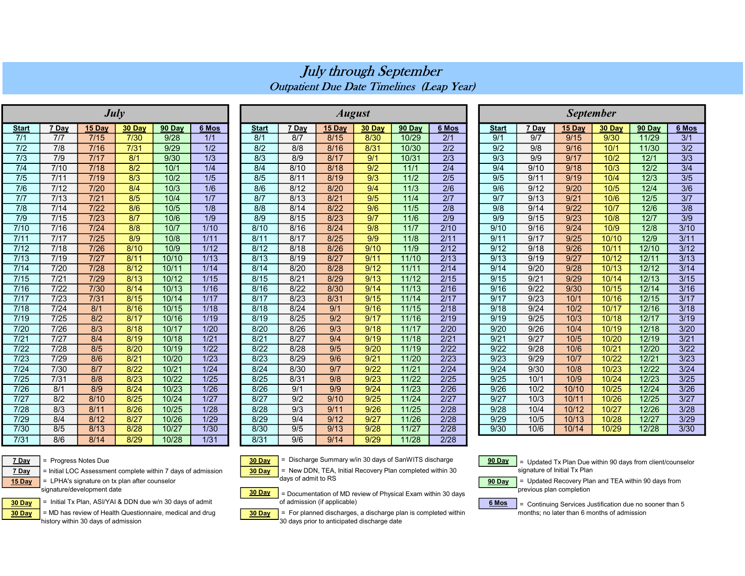# July through September Outpatient Due Date Timelines (Leap Year)

|                  |       |        | <b>July</b>   |        |        |              |       | <b>August</b> |                |
|------------------|-------|--------|---------------|--------|--------|--------------|-------|---------------|----------------|
| <b>Start</b>     | 7 Day | 15 Day | <b>30 Day</b> | 90 Day | 6 Mos  | <b>Start</b> | 7 Day | 15 Day        | 30             |
| 7/1              | 7/7   | 7/15   | 7/30          | 9/28   | 1/1    | 8/1          | 8/7   | 8/15          | 8 <sub>i</sub> |
| 7/2              | 7/8   | 7/16   | 7/31          | 9/29   | 1/2    | 8/2          | 8/8   | 8/16          | 8 <sub>i</sub> |
| 7/3              | 7/9   | 7/17   | 8/1           | 9/30   | 1/3    | 8/3          | 8/9   | 8/17          | ç              |
| 7/4              | 7/10  | 7/18   | 8/2           | 10/1   | 1/4    | 8/4          | 8/10  | 8/18          | ç              |
| 7/5              | 7/11  | 7/19   | 8/3           | 10/2   | 1/5    | 8/5          | 8/11  | 8/19          | ç              |
| 7/6              | 7/12  | 7/20   | 8/4           | 10/3   | 1/6    | 8/6          | 8/12  | 8/20          | ę              |
| 7/7              | 7/13  | 7/21   | 8/5           | 10/4   | 1/7    | 8/7          | 8/13  | 8/21          | ę              |
| $\overline{7/8}$ | 7/14  | $7/22$ | 8/6           | 10/5   | 1/8    | 8/8          | 8/14  | 8/22          | ç              |
| $\overline{7/9}$ | 7/15  | 7/23   | 8/7           | 10/6   | 1/9    | 8/9          | 8/15  | 8/23          | ę              |
| 7/10             | 7/16  | 7/24   | 8/8           | 10/7   | 1/10   | 8/10         | 8/16  | 8/24          | ç              |
| 7/11             | 7/17  | 7/25   | 8/9           | 10/8   | 1/11   | 8/11         | 8/17  | 8/25          | ç              |
| 7/12             | 7/18  | 7/26   | 8/10          | 10/9   | 1/12   | 8/12         | 8/18  | 8/26          | 9 <sub>i</sub> |
| 7/13             | 7/19  | 7/27   | 8/11          | 10/10  | 1/13   | 8/13         | 8/19  | 8/27          | 9 <sub>i</sub> |
| 7/14             | 7/20  | 7/28   | 8/12          | 10/11  | 1/14   | 8/14         | 8/20  | 8/28          | 9 <sub>i</sub> |
| 7/15             | 7/21  | 7/29   | 8/13          | 10/12  | 1/15   | 8/15         | 8/21  | 8/29          | 9 <sub>i</sub> |
| 7/16             | 7/22  | 7/30   | 8/14          | 10/13  | 1/16   | 8/16         | 8/22  | 8/30          | 9 <sub>i</sub> |
| 7/17             | 7/23  | 7/31   | 8/15          | 10/14  | 1/17   | 8/17         | 8/23  | 8/31          | $\overline{9}$ |
| $\frac{7}{18}$   | 7/24  | 8/1    | 8/16          | 10/15  | 1/18   | 8/18         | 8/24  | 9/1           | 9 <sub>i</sub> |
| 7/19             | 7/25  | 8/2    | 8/17          | 10/16  | 1/19   | 8/19         | 8/25  | 9/2           | $\overline{9}$ |
| 7/20             | 7/26  | 8/3    | 8/18          | 10/17  | 1/20   | 8/20         | 8/26  | 9/3           | 9 <sub>i</sub> |
| $\frac{7}{21}$   | 7/27  | 8/4    | 8/19          | 10/18  | $1/21$ | 8/21         | 8/27  | 9/4           | $\overline{9}$ |
| 7/22             | 7/28  | 8/5    | 8/20          | 10/19  | 1/22   | 8/22         | 8/28  | 9/5           | 9 <sub>i</sub> |
| 7/23             | 7/29  | 8/6    | 8/21          | 10/20  | 1/23   | 8/23         | 8/29  | 9/6           | 9 <sub>i</sub> |
| 7/24             | 7/30  | 8/7    | 8/22          | 10/21  | 1/24   | 8/24         | 8/30  | 9/7           | 9 <sub>i</sub> |
| 7/25             | 7/31  | 8/8    | 8/23          | 10/22  | 1/25   | 8/25         | 8/31  | 9/8           | 9 <sub>i</sub> |
| 7/26             | 8/1   | 8/9    | 8/24          | 10/23  | 1/26   | 8/26         | 9/1   | 9/9           | 9 <sub>i</sub> |
| 7/27             | 8/2   | 8/10   | 8/25          | 10/24  | 1/27   | 8/27         | 9/2   | 9/10          | 9 <sub>i</sub> |
| 7/28             | 8/3   | 8/11   | 8/26          | 10/25  | 1/28   | 8/28         | 9/3   | 9/11          | 9 <sub>i</sub> |
| 7/29             | 8/4   | 8/12   | 8/27          | 10/26  | 1/29   | 8/29         | 9/4   | 9/12          | 9              |
| 7/30             | 8/5   | 8/13   | 8/28          | 10/27  | 1/30   | 8/30         | 9/5   | 9/13          | $\overline{9}$ |
| 7/31             | 8/6   | 8/14   | 8/29          | 10/28  | 1/31   | 8/31         | 9/6   | 9/14          | $\overline{9}$ |

|                   |       |        | <b>July</b> |               |                  |              |       |        | <b>August</b> |        |                  |                  |       | <b>September</b> |        |        |                   |
|-------------------|-------|--------|-------------|---------------|------------------|--------------|-------|--------|---------------|--------|------------------|------------------|-------|------------------|--------|--------|-------------------|
| <b>Start</b>      | 7 Dav | 15 Dav | 30 Day      | <b>90 Day</b> | 6 Mos            | <b>Start</b> | 7 Dav | 15 Day | 30 Day        | 90 Day | 6 Mos            | <b>Start</b>     | 7 Day | 15 Day           | 30 Day | 90 Day | 6 Mos             |
| $\frac{7}{1}$     | 7/7   | 7/15   | 7/30        | 9/28          | 1/1              | 8/1          | 8/7   | 8/15   | 8/30          | 10/29  | 2/1              | 9/1              | 9/7   | 9/15             | 9/30   | 11/29  | $\overline{3/1}$  |
| 7/2               | 7/8   | 7/16   | 7/31        | 9/29          | 1/2              | 8/2          | 8/8   | 8/16   | 8/31          | 10/30  | $\overline{2/2}$ | 9/2              | 9/8   | 9/16             | 10/1   | 11/30  | $\overline{3/2}$  |
| $\overline{7/3}$  | 7/9   | 7/17   | 8/1         | 9/30          | $\overline{1/3}$ | 8/3          | 8/9   | 8/17   | 9/1           | 10/31  | $\overline{2/3}$ | $\overline{9/3}$ | 9/9   | 9/17             | 10/2   | 12/1   | $\overline{3/3}$  |
| 7/4               | 7/10  | 7/18   | 8/2         | 10/1          | 1/4              | 8/4          | 8/10  | 8/18   | 9/2           | 11/1   | $\overline{2/4}$ | 9/4              | 9/10  | 9/18             | 10/3   | 12/2   | $\overline{3/4}$  |
| 7/5               | 7/11  | 7/19   | 8/3         | 10/2          | 1/5              | 8/5          | 8/11  | 8/19   | 9/3           | $11/2$ | $\overline{2/5}$ | 9/5              | 9/11  | 9/19             | 10/4   | 12/3   | $\overline{3/5}$  |
| 7/6               | 7/12  | $7/20$ | 8/4         | 10/3          | 1/6              | 8/6          | 8/12  | 8/20   | 9/4           | 11/3   | $\overline{2/6}$ | 9/6              | 9/12  | 9/20             | 10/5   | 12/4   | 3/6               |
| 7/7               | 7/13  | 7/21   | 8/5         | 10/4          | 1/7              | 8/7          | 8/13  | 8/21   | 9/5           | $11/4$ | $\overline{2/7}$ | 9/7              | 9/13  | 9/21             | 10/6   | 12/5   | $\overline{3/7}$  |
| 7/8               | 7/14  | 7/22   | 8/6         | 10/5          | 1/8              | 8/8          | 8/14  | 8/22   | 9/6           | 11/5   | 2/8              | 9/8              | 9/14  | 9/22             | 10/7   | 12/6   | 3/8               |
| $\overline{7/9}$  | 7/15  | 7/23   | 8/7         | 10/6          | 1/9              | 8/9          | 8/15  | 8/23   | 9/7           | 11/6   | 2/9              | 9/9              | 9/15  | 9/23             | 10/8   | 12/7   | $\overline{3/9}$  |
| 7/10              | 7/16  | 7/24   | 8/8         | 10/7          | 1/10             | 8/10         | 8/16  | 8/24   | 9/8           | 11/7   | 2/10             | 9/10             | 9/16  | 9/24             | 10/9   | 12/8   | 3/10              |
| 7/11              | 7/17  | 7/25   | 8/9         | 10/8          | 1/11             | 8/11         | 8/17  | 8/25   | 9/9           | 11/8   | 2/11             | 9/11             | 9/17  | 9/25             | 10/10  | 12/9   | 3/11              |
| 7/12              | 7/18  | 7/26   | 8/10        | 10/9          | $1/12$           | 8/12         | 8/18  | 8/26   | 9/10          | 11/9   | 2/12             | 9/12             | 9/18  | 9/26             | 10/11  | 12/10  | 3/12              |
| 7/13              | 7/19  | 7/27   | 8/11        | 10/10         | 1/13             | 8/13         | 8/19  | 8/27   | 9/11          | 11/10  | 2/13             | 9/13             | 9/19  | 9/27             | 10/12  | 12/11  | $\overline{3/13}$ |
| 7/14              | 7/20  | 7/28   | 8/12        | 10/11         | 1/14             | 8/14         | 8/20  | 8/28   | 9/12          | 11/11  | 2/14             | 9/14             | 9/20  | 9/28             | 10/13  | 12/12  | $\frac{3}{14}$    |
| 7/15              | 7/21  | 7/29   | 8/13        | 10/12         | 1/15             | 8/15         | 8/21  | 8/29   | 9/13          | 11/12  | 2/15             | 9/15             | 9/21  | 9/29             | 10/14  | 12/13  | $\overline{3/15}$ |
| $\frac{7}{16}$    | 7/22  | 7/30   | 8/14        | 10/13         | 1/16             | 8/16         | 8/22  | 8/30   | 9/14          | 11/13  | 2/16             | 9/16             | 9/22  | 9/30             | 10/15  | 12/14  | 3/16              |
| 7/17              | 7/23  | 7/31   | 8/15        | 10/14         | 1/17             | 8/17         | 8/23  | 8/31   | 9/15          | 11/14  | 2/17             | 9/17             | 9/23  | 10/1             | 10/16  | 12/15  | 3/17              |
| $\frac{7}{18}$    | 7/24  | 8/1    | 8/16        | 10/15         | 1/18             | 8/18         | 8/24  | 9/1    | 9/16          | 11/15  | 2/18             | 9/18             | 9/24  | 10/2             | 10/17  | 12/16  | 3/18              |
| 7/19              | 7/25  | 8/2    | 8/17        | 10/16         | 1/19             | 8/19         | 8/25  | 9/2    | 9/17          | 11/16  | 2/19             | 9/19             | 9/25  | 10/3             | 10/18  | 12/17  | 3/19              |
| 7/20              | 7/26  | 8/3    | 8/18        | 10/17         | 1/20             | 8/20         | 8/26  | 9/3    | 9/18          | 11/17  | 2/20             | 9/20             | 9/26  | 10/4             | 10/19  | 12/18  | 3/20              |
| 7/21              | 7/27  | 8/4    | 8/19        | 10/18         | 1/21             | 8/21         | 8/27  | 9/4    | 9/19          | 11/18  | 2/21             | 9/21             | 9/27  | 10/5             | 10/20  | 12/19  | $\frac{3}{21}$    |
| $\overline{7/22}$ | 7/28  | 8/5    | 8/20        | 10/19         | $\frac{1}{22}$   | 8/22         | 8/28  | 9/5    | 9/20          | 11/19  | 2/22             | 9/22             | 9/28  | 10/6             | 10/21  | 12/20  | $\frac{3}{22}$    |
| 7/23              | 7/29  | 8/6    | 8/21        | 10/20         | $\frac{1}{23}$   | 8/23         | 8/29  | 9/6    | 9/21          | 11/20  | 2/23             | 9/23             | 9/29  | 10/7             | 10/22  | 12/21  | $\frac{3}{23}$    |
| 7/24              | 7/30  | 8/7    | 8/22        | 10/21         | 1/24             | 8/24         | 8/30  | 9/7    | 9/22          | 11/21  | 2/24             | 9/24             | 9/30  | 10/8             | 10/23  | 12/22  | $\frac{3}{24}$    |
| 7/25              | 7/31  | 8/8    | 8/23        | 10/22         | $\frac{1}{25}$   | 8/25         | 8/31  | 9/8    | 9/23          | 11/22  | 2/25             | 9/25             | 10/1  | 10/9             | 10/24  | 12/23  | $\frac{3}{25}$    |
| $\overline{7/26}$ | 8/1   | 8/9    | 8/24        | 10/23         | 1/26             | 8/26         | 9/1   | 9/9    | 9/24          | 11/23  | 2/26             | 9/26             | 10/2  | 10/10            | 10/25  | 12/24  | 3/26              |
| 7/27              | 8/2   | 8/10   | 8/25        | 10/24         | 1/27             | 8/27         | 9/2   | 9/10   | 9/25          | 11/24  | 2/27             | 9/27             | 10/3  | 10/11            | 10/26  | 12/25  | $\frac{3}{27}$    |
| 7/28              | 8/3   | 8/11   | 8/26        | 10/25         | 1/28             | 8/28         | 9/3   | 9/11   | 9/26          | 11/25  | 2/28             | 9/28             | 10/4  | 10/12            | 10/27  | 12/26  | 3/28              |
| 7/29              | 8/4   | 8/12   | 8/27        | 10/26         | 1/29             | 8/29         | 9/4   | 9/12   | 9/27          | 11/26  | 2/28             | 9/29             | 10/5  | 10/13            | 10/28  | 12/27  | 3/29              |
| 7/30              | 8/5   | 8/13   | 8/28        | 10/27         | 1/30             | 8/30         | 9/5   | 9/13   | 9/28          | 11/27  | 2/28             | 9/30             | 10/6  | 10/14            | 10/29  | 12/28  | 3/30              |
| 7/31              | 8/6   | 8/14   | 8/29        | 10/28         | 1/31             | 8/31         | 9/6   | 9/14   | 9/29          | 11/28  | 2/28             |                  |       |                  |        |        |                   |

|              |       | <b>September</b> |               |               |       |
|--------------|-------|------------------|---------------|---------------|-------|
| <b>Start</b> | 7 Day | <b>15 Day</b>    | <b>30 Day</b> | <b>90 Day</b> | 6 Mos |
| 9/1          | 9/7   | 9/15             | 9/30          | 11/29         | 3/1   |
| 9/2          | 9/8   | 9/16             | 10/1          | 11/30         | 3/2   |
| 9/3          | 9/9   | 9/17             | 10/2          | 12/1          | 3/3   |
| 9/4          | 9/10  | 9/18             | 10/3          | 12/2          | 3/4   |
| 9/5          | 9/11  | 9/19             | 10/4          | 12/3          | 3/5   |
| 9/6          | 9/12  | 9/20             | 10/5          | 12/4          | 3/6   |
| 9/7          | 9/13  | 9/21             | 10/6          | 12/5          | 3/7   |
| 9/8          | 9/14  | 9/22             | 10/7          | 12/6          | 3/8   |
| 9/9          | 9/15  | 9/23             | 10/8          | 12/7          | 3/9   |
| 9/10         | 9/16  | 9/24             | 10/9          | 12/8          | 3/10  |
| 9/11         | 9/17  | 9/25             | 10/10         | 12/9          | 3/11  |
| 9/12         | 9/18  | 9/26             | 10/11         | 12/10         | 3/12  |
| 9/13         | 9/19  | 9/27             | 10/12         | 12/11         | 3/13  |
| 9/14         | 9/20  | 9/28             | 10/13         | 12/12         | 3/14  |
| 9/15         | 9/21  | 9/29             | 10/14         | 12/13         | 3/15  |
| 9/16         | 9/22  | 9/30             | 10/15         | 12/14         | 3/16  |
| 9/17         | 9/23  | 10/1             | 10/16         | 12/15         | 3/17  |
| 9/18         | 9/24  | 10/2             | 10/17         | 12/16         | 3/18  |
| 9/19         | 9/25  | 10/3             | 10/18         | 12/17         | 3/19  |
| 9/20         | 9/26  | 10/4             | 10/19         | 12/18         | 3/20  |
| 9/21         | 9/27  | 10/5             | 10/20         | 12/19         | 3/21  |
| 9/22         | 9/28  | 10/6             | 10/21         | 12/20         | 3/22  |
| 9/23         | 9/29  | 10/7             | 10/22         | 12/21         | 3/23  |
| 9/24         | 9/30  | 10/8             | 10/23         | 12/22         | 3/24  |
| 9/25         | 10/1  | 10/9             | 10/24         | 12/23         | 3/25  |
| 9/26         | 10/2  | 10/10            | 10/25         | 12/24         | 3/26  |
| 9/27         | 10/3  | 10/11            | 10/26         | 12/25         | 3/27  |
| 9/28         | 10/4  | 10/12            | 10/27         | 12/26         | 3/28  |
| 9/29         | 10/5  | 10/13            | 10/28         | 12/27         | 3/29  |
| 9/30         | 10/6  | 10/14            | 10/29         | 12/28         | 3/30  |

 $\overline{7 \text{ Day}}$  = Initial LOC Assessment complete within 7 days of admission  $\overline{30 \text{ Day}}$ 

signature/development date



 $\boxed{30 \text{ Day}}$  = MD has review of Health Questionnaire, medical and drug  $\boxed{30 \text{ Day}}$ history within 30 days of admission

7 Day = Progress Notes Due 30 Day = Discharge Summary w/in 30 days of SanWITS discharge 30 Day

15 Day = LPHA's signature on tx plan after counselor example to the state of the state of the state of the state of the state of the state of the state of the state of the state of the state of the state of the state of th  $=$  New DDN, TEA, Initial Recovery Plan completed within 30 days of admit to RS



= MD has review of Health Questionnaire, medical and drug **and a service of the Suppler of than 6** months of admission 30 days prior to anticipated discharge date

 $\big\vert$  = Updated Tx Plan Due within 90 days from client/counselor<br>signature of Initial Tx Plan

= Updated Recovery Plan and TEA within 90 days from



= Continuing Services Justification due no sooner than 5